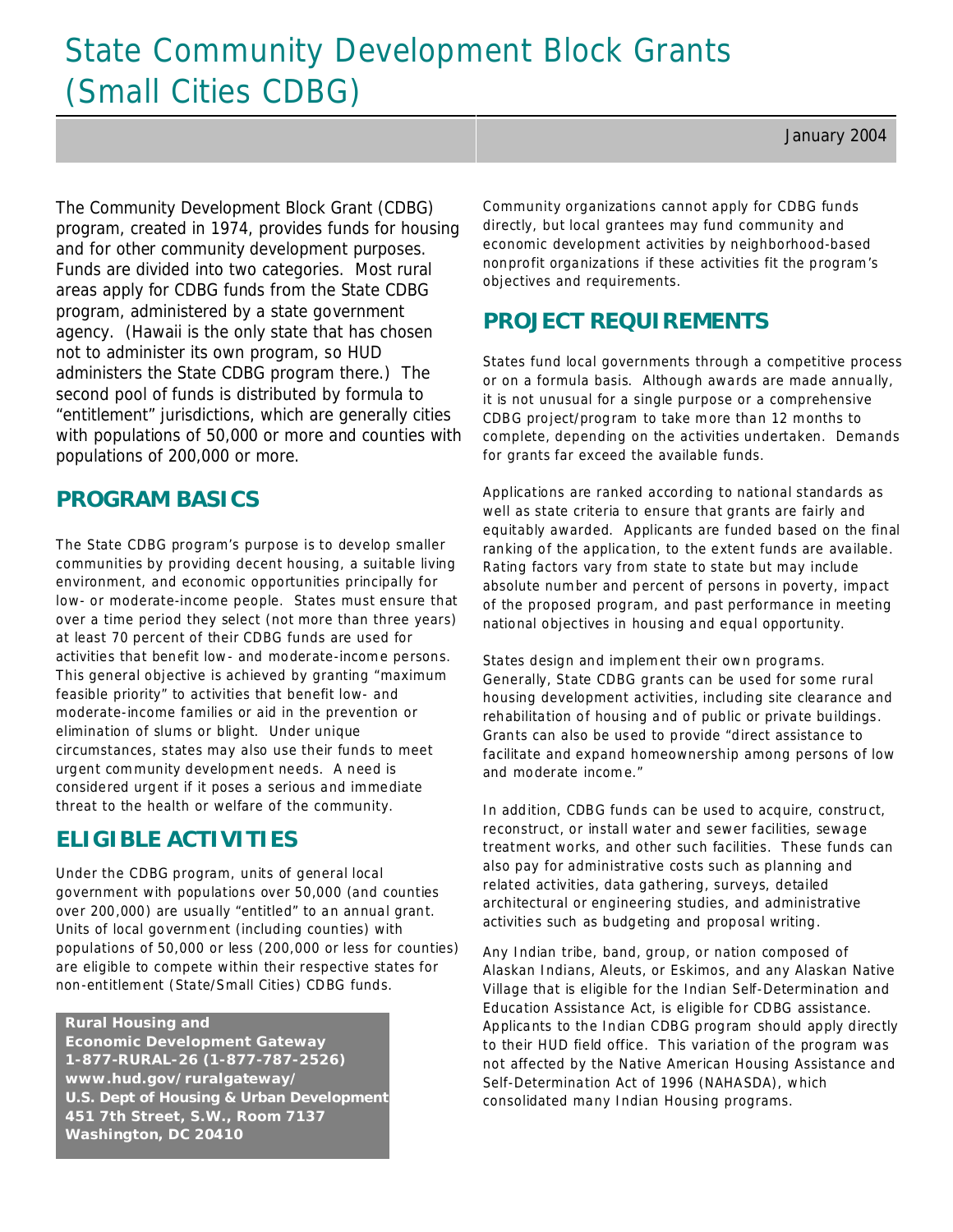# State Community Development Block Grants (Small Cities CDBG)

The Community Development Block Grant (CDBG) program, created in 1974, provides funds for housing and for other community development purposes. Funds are divided into two categories. Most rural areas apply for CDBG funds from the State CDBG program, administered by a state government agency. (Hawaii is the only state that has chosen not to administer its own program, so HUD administers the State CDBG program there.) The second pool of funds is distributed by formula to "entitlement" jurisdictions, which are generally cities with populations of 50,000 or more and counties with populations of 200,000 or more.

## **PROGRAM BASICS**

The State CDBG program's purpose is to develop smaller communities by providing decent housing, a suitable living environment, and economic opportunities principally for low- or moderate-income people. States must ensure that over a time period they select (not more than three years) at least 70 percent of their CDBG funds are used for activities that benefit low- and moderate-income persons. This general objective is achieved by granting "maximum feasible priority" to activities that benefit low- and moderate-income families or aid in the prevention or elimination of slums or blight. Under unique circumstances, states may also use their funds to meet urgent com munity development needs. A need is considered urgent if it poses a serious and immediate threat to the health or welfare of the community.

# **ELIGIBLE ACTIVITIES**

Under the CDBG program, units of general local government with populations over 50,000 (and counties over 200,000) are usually "entitled" to an annual grant. Units of local government (including counties) with populations of 50,000 or less (200,000 or less for counties) are eligible to compete within their respective states for non-entitlement (State/Small Cities) CDBG funds.

#### **Rural Housing and**

 **Economic Development Gateway 1-877-RURAL-26 (1-877-787-2526) www.hud.gov/ruralgateway/ U.S. Dept of Housing & Urban Development 451 7th Street, S.W., Room 7137 Washington, DC 20410**

Community organizations cannot apply for CDBG funds directly, but local grantees may fund community and economic development activities by neighborhood-based nonprofit organizations if these activities fit the program's objectives and requirements.

# **PROJECT REQUIREMENTS**

States fund local governments through a competitive process or on a formula basis. Although awards are made annually, it is not unusual for a single purpose or a comprehensive CDBG project/program to take more than 12 months to complete, depending on the activities undertaken. Demands for grants far exceed the available funds.

Applications are ranked according to national standards as well as state criteria to ensure that grants are fairly and equitably awarded. Applicants are funded based on the final ranking of the application, to the extent funds are available. Rating factors vary from state to state but may include absolute number and percent of persons in poverty, impact of the proposed program, and past performance in meeting national objectives in housing and equal opportunity.

States design and implement their own programs. Generally, State CDBG grants can be used for some rural housing development activities, including site clearance and rehabilitation of housing and of public or private buildings. Grants can also be used to provide "direct assistance to facilitate and expand homeownership among persons of low and moderate income."

In addition, CDBG funds can be used to acquire, construct, reconstruct, or install water and sewer facilities, sewage treatment works, and other such facilities. These funds can also pay for administrative costs such as planning and related activities, data gathering, surveys, detailed architectural or engineering studies, and administrative activities such as budgeting and proposal writing.

Any Indian tribe, band, group, or nation composed of Alaskan Indians, Aleuts, or Eskimos, and any Alaskan Native Village that is eligible for the Indian Self-Determination and Education Assistance Act, is eligible for CDBG assistance. Applicants to the Indian CDBG program should apply directly to their HUD field office. This variation of the program was not affected by the Native American Housing Assistance and Self-Determination Act of 1996 (NAHASDA), which consolidated many Indian Housing programs.